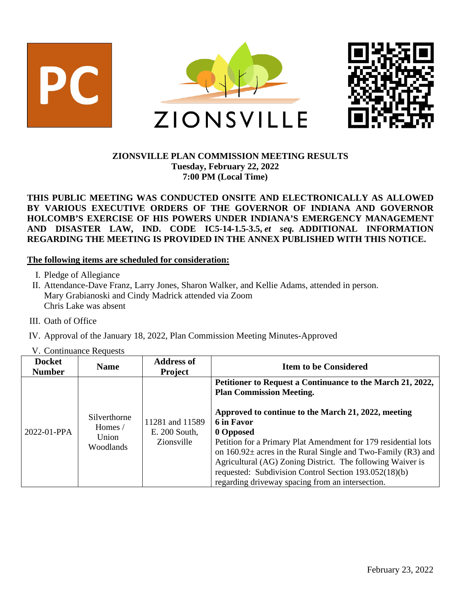

## **ZIONSVILLE PLAN COMMISSION MEETING RESULTS Tuesday, February 22, 2022 7:00 PM (Local Time)**

## **THIS PUBLIC MEETING WAS CONDUCTED ONSITE AND ELECTRONICALLY AS ALLOWED BY VARIOUS EXECUTIVE ORDERS OF THE GOVERNOR OF INDIANA AND GOVERNOR HOLCOMB'S EXERCISE OF HIS POWERS UNDER INDIANA'S EMERGENCY MANAGEMENT AND DISASTER LAW, IND. CODE IC5-14-1.5-3.5,** *et seq.* **ADDITIONAL INFORMATION REGARDING THE MEETING IS PROVIDED IN THE ANNEX PUBLISHED WITH THIS NOTICE.**

#### **The following items are scheduled for consideration:**

- I. Pledge of Allegiance
- II. Attendance-Dave Franz, Larry Jones, Sharon Walker, and Kellie Adams, attended in person. Mary Grabianoski and Cindy Madrick attended via Zoom Chris Lake was absent
- III. Oath of Office
- IV. Approval of the January 18, 2022, Plan Commission Meeting Minutes-Approved
- V. Continuance Requests

| <b>Docket</b><br><b>Number</b> | <b>Name</b>                                   | <b>Address of</b><br><b>Project</b>            | <b>Item to be Considered</b>                                                                                                                                                                                                                                                                                                                                                                    |
|--------------------------------|-----------------------------------------------|------------------------------------------------|-------------------------------------------------------------------------------------------------------------------------------------------------------------------------------------------------------------------------------------------------------------------------------------------------------------------------------------------------------------------------------------------------|
|                                |                                               |                                                | Petitioner to Request a Continuance to the March 21, 2022,<br><b>Plan Commission Meeting.</b>                                                                                                                                                                                                                                                                                                   |
| $2022 - 01 - PPA$              | Silverthorne<br>Homes /<br>Union<br>Woodlands | 11281 and 11589<br>E. 200 South,<br>Zionsville | Approved to continue to the March 21, 2022, meeting<br>6 in Favor<br>0 Opposed<br>Petition for a Primary Plat Amendment for 179 residential lots<br>on $160.92\pm$ acres in the Rural Single and Two-Family (R3) and<br>Agricultural (AG) Zoning District. The following Waiver is<br>requested: Subdivision Control Section 193.052(18)(b)<br>regarding driveway spacing from an intersection. |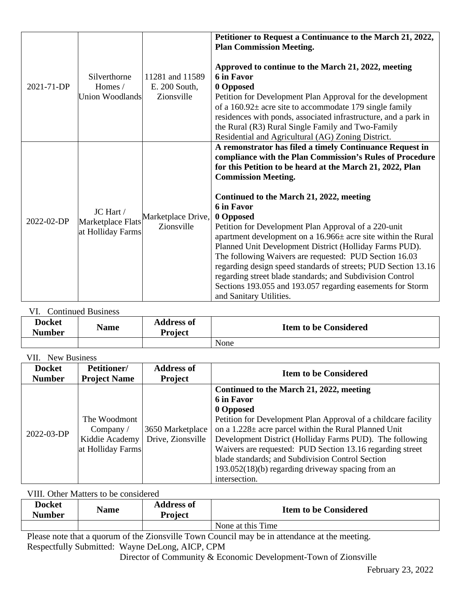| 2021-71-DP | Silverthorne<br>Homes /<br>Union Woodlands          | 11281 and 11589<br>E. 200 South,<br>Zionsville | Petitioner to Request a Continuance to the March 21, 2022,<br><b>Plan Commission Meeting.</b><br>Approved to continue to the March 21, 2022, meeting<br>6 in Favor<br>0 Opposed<br>Petition for Development Plan Approval for the development<br>of a $160.92\pm$ acre site to accommodate 179 single family<br>residences with ponds, associated infrastructure, and a park in<br>the Rural (R3) Rural Single Family and Two-Family<br>Residential and Agricultural (AG) Zoning District.                                                                                                                                                                                                                                                                   |
|------------|-----------------------------------------------------|------------------------------------------------|--------------------------------------------------------------------------------------------------------------------------------------------------------------------------------------------------------------------------------------------------------------------------------------------------------------------------------------------------------------------------------------------------------------------------------------------------------------------------------------------------------------------------------------------------------------------------------------------------------------------------------------------------------------------------------------------------------------------------------------------------------------|
| 2022-02-DP | JC Hart /<br>Marketplace Flats<br>at Holliday Farms | Marketplace Drive,<br>Zionsville               | A remonstrator has filed a timely Continuance Request in<br>compliance with the Plan Commission's Rules of Procedure<br>for this Petition to be heard at the March 21, 2022, Plan<br><b>Commission Meeting.</b><br>Continued to the March 21, 2022, meeting<br>6 in Favor<br>0 Opposed<br>Petition for Development Plan Approval of a 220-unit<br>apartment development on a 16.966± acre site within the Rural<br>Planned Unit Development District (Holliday Farms PUD).<br>The following Waivers are requested: PUD Section 16.03<br>regarding design speed standards of streets; PUD Section 13.16<br>regarding street blade standards; and Subdivision Control<br>Sections 193.055 and 193.057 regarding easements for Storm<br>and Sanitary Utilities. |

# VI. Continued Business

| <b>Docket</b><br><b>Number</b> | <b>Name</b> | <b>Address of</b><br>Project | <b>Item to be Considered</b> |
|--------------------------------|-------------|------------------------------|------------------------------|
|                                |             |                              | None                         |

VII. New Business

| <b>Docket</b> | <b>Petitioner/</b>                                                        | <b>Address of</b>                     | <b>Item to be Considered</b>                                                                                                                                                                                                                                                                                                                                                                                                                             |
|---------------|---------------------------------------------------------------------------|---------------------------------------|----------------------------------------------------------------------------------------------------------------------------------------------------------------------------------------------------------------------------------------------------------------------------------------------------------------------------------------------------------------------------------------------------------------------------------------------------------|
| <b>Number</b> | <b>Project Name</b>                                                       | <b>Project</b>                        |                                                                                                                                                                                                                                                                                                                                                                                                                                                          |
| 2022-03-DP    | The Woodmont<br>Company $\sqrt{ }$<br>Kiddie Academy<br>at Holliday Farms | 3650 Marketplace<br>Drive, Zionsville | Continued to the March 21, 2022, meeting<br>6 in Favor<br>0 Opposed<br>Petition for Development Plan Approval of a childcare facility<br>on a $1.228 \pm$ acre parcel within the Rural Planned Unit<br>Development District (Holliday Farms PUD). The following<br>Waivers are requested: PUD Section 13.16 regarding street<br>blade standards; and Subdivision Control Section<br>$193.052(18)(b)$ regarding driveway spacing from an<br>intersection. |

VIII. Other Matters to be considered

| <b>Docket</b><br><b>Number</b> | <b>Name</b>   | <b>Address of</b><br>Project | <b>Item to be Considered</b> |
|--------------------------------|---------------|------------------------------|------------------------------|
|                                |               |                              | None at this Time            |
| __                             | $\sim$ $\sim$ | <u>_</u> _                   | ____                         |

Please note that a quorum of the Zionsville Town Council may be in attendance at the meeting. Respectfully Submitted: Wayne DeLong, AICP, CPM

Director of Community & Economic Development-Town of Zionsville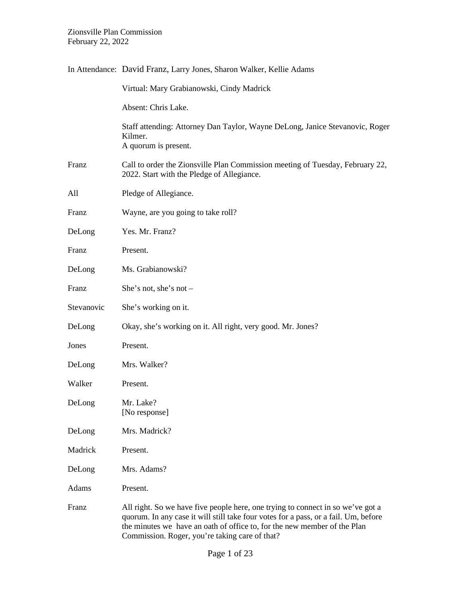|            | In Attendance: David Franz, Larry Jones, Sharon Walker, Kellie Adams                                                                                                                                                                               |
|------------|----------------------------------------------------------------------------------------------------------------------------------------------------------------------------------------------------------------------------------------------------|
|            | Virtual: Mary Grabianowski, Cindy Madrick                                                                                                                                                                                                          |
|            | Absent: Chris Lake.                                                                                                                                                                                                                                |
|            | Staff attending: Attorney Dan Taylor, Wayne DeLong, Janice Stevanovic, Roger<br>Kilmer.<br>A quorum is present.                                                                                                                                    |
| Franz      | Call to order the Zionsville Plan Commission meeting of Tuesday, February 22,<br>2022. Start with the Pledge of Allegiance.                                                                                                                        |
| All        | Pledge of Allegiance.                                                                                                                                                                                                                              |
| Franz      | Wayne, are you going to take roll?                                                                                                                                                                                                                 |
| DeLong     | Yes. Mr. Franz?                                                                                                                                                                                                                                    |
| Franz      | Present.                                                                                                                                                                                                                                           |
| DeLong     | Ms. Grabianowski?                                                                                                                                                                                                                                  |
| Franz      | She's not, she's not $-$                                                                                                                                                                                                                           |
| Stevanovic | She's working on it.                                                                                                                                                                                                                               |
| DeLong     | Okay, she's working on it. All right, very good. Mr. Jones?                                                                                                                                                                                        |
| Jones      | Present.                                                                                                                                                                                                                                           |
| DeLong     | Mrs. Walker?                                                                                                                                                                                                                                       |
| Walker     | Present.                                                                                                                                                                                                                                           |
| DeLong     | Mr. Lake?<br>[No response]                                                                                                                                                                                                                         |
| DeLong     | Mrs. Madrick?                                                                                                                                                                                                                                      |
| Madrick    | Present.                                                                                                                                                                                                                                           |
| DeLong     | Mrs. Adams?                                                                                                                                                                                                                                        |
| Adams      | Present.                                                                                                                                                                                                                                           |
| Franz      | All right. So we have five people here, one trying to connect in so we've got a<br>quorum. In any case it will still take four votes for a pass, or a fail. Um, before<br>the minutes we have an oath of office to, for the new member of the Plan |

Commission. Roger, you're taking care of that?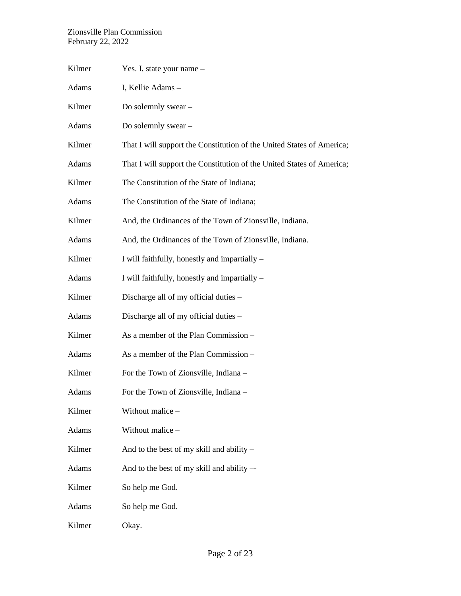| Kilmer | Yes. I, state your name -                                             |
|--------|-----------------------------------------------------------------------|
| Adams  | I, Kellie Adams -                                                     |
| Kilmer | Do solemnly swear -                                                   |
| Adams  | Do solemnly swear –                                                   |
| Kilmer | That I will support the Constitution of the United States of America; |
| Adams  | That I will support the Constitution of the United States of America; |
| Kilmer | The Constitution of the State of Indiana;                             |
| Adams  | The Constitution of the State of Indiana;                             |
| Kilmer | And, the Ordinances of the Town of Zionsville, Indiana.               |
| Adams  | And, the Ordinances of the Town of Zionsville, Indiana.               |
| Kilmer | I will faithfully, honestly and impartially –                         |
| Adams  | I will faithfully, honestly and impartially -                         |
| Kilmer | Discharge all of my official duties –                                 |
| Adams  | Discharge all of my official duties –                                 |
| Kilmer | As a member of the Plan Commission -                                  |
| Adams  | As a member of the Plan Commission -                                  |
| Kilmer | For the Town of Zionsville, Indiana –                                 |
| Adams  | For the Town of Zionsville, Indiana –                                 |
| Kilmer | Without malice -                                                      |
| Adams  | Without malice -                                                      |
| Kilmer | And to the best of my skill and ability –                             |
| Adams  | And to the best of my skill and ability --                            |
| Kilmer | So help me God.                                                       |
| Adams  | So help me God.                                                       |
| Kilmer | Okay.                                                                 |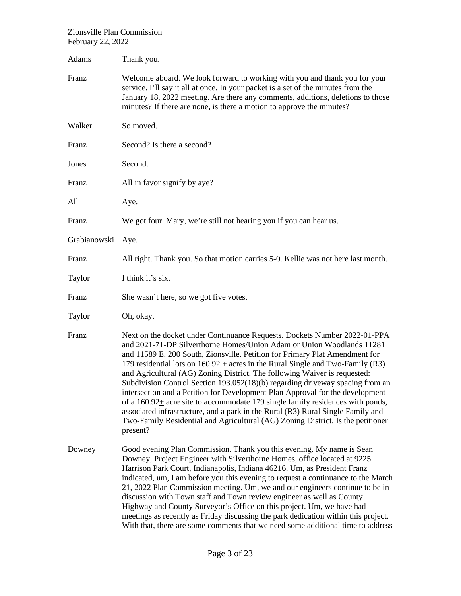| Adams        | Thank you.                                                                                                                                                                                                                                                                                                                                                                                                                                                                                                                                                                                                                                                                                                                                                                                                                                             |
|--------------|--------------------------------------------------------------------------------------------------------------------------------------------------------------------------------------------------------------------------------------------------------------------------------------------------------------------------------------------------------------------------------------------------------------------------------------------------------------------------------------------------------------------------------------------------------------------------------------------------------------------------------------------------------------------------------------------------------------------------------------------------------------------------------------------------------------------------------------------------------|
| Franz        | Welcome aboard. We look forward to working with you and thank you for your<br>service. I'll say it all at once. In your packet is a set of the minutes from the<br>January 18, 2022 meeting. Are there any comments, additions, deletions to those<br>minutes? If there are none, is there a motion to approve the minutes?                                                                                                                                                                                                                                                                                                                                                                                                                                                                                                                            |
| Walker       | So moved.                                                                                                                                                                                                                                                                                                                                                                                                                                                                                                                                                                                                                                                                                                                                                                                                                                              |
| Franz        | Second? Is there a second?                                                                                                                                                                                                                                                                                                                                                                                                                                                                                                                                                                                                                                                                                                                                                                                                                             |
| Jones        | Second.                                                                                                                                                                                                                                                                                                                                                                                                                                                                                                                                                                                                                                                                                                                                                                                                                                                |
| Franz        | All in favor signify by aye?                                                                                                                                                                                                                                                                                                                                                                                                                                                                                                                                                                                                                                                                                                                                                                                                                           |
| All          | Aye.                                                                                                                                                                                                                                                                                                                                                                                                                                                                                                                                                                                                                                                                                                                                                                                                                                                   |
| Franz        | We got four. Mary, we're still not hearing you if you can hear us.                                                                                                                                                                                                                                                                                                                                                                                                                                                                                                                                                                                                                                                                                                                                                                                     |
| Grabianowski | Aye.                                                                                                                                                                                                                                                                                                                                                                                                                                                                                                                                                                                                                                                                                                                                                                                                                                                   |
| Franz        | All right. Thank you. So that motion carries 5-0. Kellie was not here last month.                                                                                                                                                                                                                                                                                                                                                                                                                                                                                                                                                                                                                                                                                                                                                                      |
| Taylor       | I think it's six.                                                                                                                                                                                                                                                                                                                                                                                                                                                                                                                                                                                                                                                                                                                                                                                                                                      |
| Franz        | She wasn't here, so we got five votes.                                                                                                                                                                                                                                                                                                                                                                                                                                                                                                                                                                                                                                                                                                                                                                                                                 |
| Taylor       | Oh, okay.                                                                                                                                                                                                                                                                                                                                                                                                                                                                                                                                                                                                                                                                                                                                                                                                                                              |
| Franz        | Next on the docket under Continuance Requests. Dockets Number 2022-01-PPA<br>and 2021-71-DP Silverthorne Homes/Union Adam or Union Woodlands 11281<br>and 11589 E. 200 South, Zionsville. Petition for Primary Plat Amendment for<br>179 residential lots on $160.92 \pm \text{acres}$ in the Rural Single and Two-Family (R3)<br>and Agricultural (AG) Zoning District. The following Waiver is requested:<br>Subdivision Control Section 193.052(18)(b) regarding driveway spacing from an<br>intersection and a Petition for Development Plan Approval for the development<br>of a $160.92 \pm$ acre site to accommodate 179 single family residences with ponds,<br>associated infrastructure, and a park in the Rural (R3) Rural Single Family and<br>Two-Family Residential and Agricultural (AG) Zoning District. Is the petitioner<br>present? |
| Downey       | Good evening Plan Commission. Thank you this evening. My name is Sean<br>Downey, Project Engineer with Silverthorne Homes, office located at 9225<br>Harrison Park Court, Indianapolis, Indiana 46216. Um, as President Franz<br>indicated, um, I am before you this evening to request a continuance to the March<br>21, 2022 Plan Commission meeting. Um, we and our engineers continue to be in<br>discussion with Town staff and Town review engineer as well as County<br>Highway and County Surveyor's Office on this project. Um, we have had<br>meetings as recently as Friday discussing the park dedication within this project.<br>With that, there are some comments that we need some additional time to address                                                                                                                          |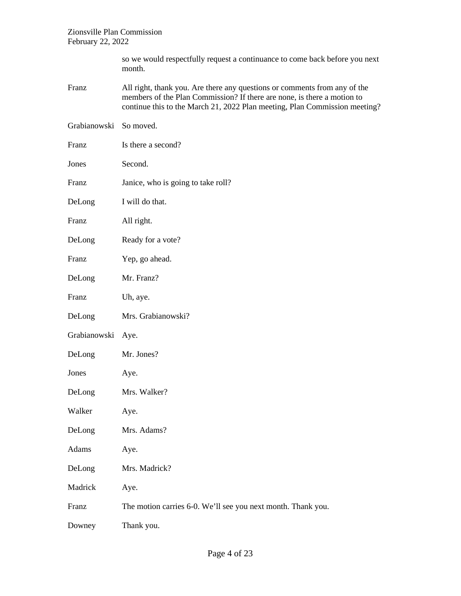| so we would respectfully request a continuance to come back before you next |
|-----------------------------------------------------------------------------|
| month.                                                                      |

- Franz All right, thank you. Are there any questions or comments from any of the members of the Plan Commission? If there are none, is there a motion to continue this to the March 21, 2022 Plan meeting, Plan Commission meeting?
- Grabianowski So moved.
- Franz Is there a second? Jones Second. Franz Janice, who is going to take roll?
- DeLong I will do that.
- Franz All right.
- DeLong Ready for a vote?
- Franz Yep, go ahead.
- DeLong Mr. Franz?
- Franz Uh, aye.
- DeLong Mrs. Grabianowski?
- Grabianowski Aye.
- DeLong Mr. Jones?
- Jones Aye.
- DeLong Mrs. Walker?
- Walker Aye.
- DeLong Mrs. Adams?
- Adams Aye.
- DeLong Mrs. Madrick?
- Madrick Aye.
- Franz The motion carries 6-0. We'll see you next month. Thank you.
- Downey Thank you.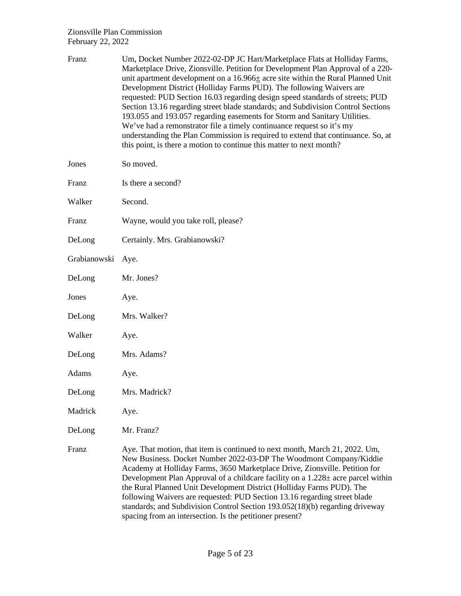| Franz        | Um, Docket Number 2022-02-DP JC Hart/Marketplace Flats at Holliday Farms,<br>Marketplace Drive, Zionsville. Petition for Development Plan Approval of a 220-<br>unit apartment development on a $16.966 \pm$ acre site within the Rural Planned Unit<br>Development District (Holliday Farms PUD). The following Waivers are<br>requested: PUD Section 16.03 regarding design speed standards of streets; PUD<br>Section 13.16 regarding street blade standards; and Subdivision Control Sections<br>193.055 and 193.057 regarding easements for Storm and Sanitary Utilities.<br>We've had a remonstrator file a timely continuance request so it's my<br>understanding the Plan Commission is required to extend that continuance. So, at<br>this point, is there a motion to continue this matter to next month? |
|--------------|---------------------------------------------------------------------------------------------------------------------------------------------------------------------------------------------------------------------------------------------------------------------------------------------------------------------------------------------------------------------------------------------------------------------------------------------------------------------------------------------------------------------------------------------------------------------------------------------------------------------------------------------------------------------------------------------------------------------------------------------------------------------------------------------------------------------|
| Jones        | So moved.                                                                                                                                                                                                                                                                                                                                                                                                                                                                                                                                                                                                                                                                                                                                                                                                           |
| Franz        | Is there a second?                                                                                                                                                                                                                                                                                                                                                                                                                                                                                                                                                                                                                                                                                                                                                                                                  |
| Walker       | Second.                                                                                                                                                                                                                                                                                                                                                                                                                                                                                                                                                                                                                                                                                                                                                                                                             |
| Franz        | Wayne, would you take roll, please?                                                                                                                                                                                                                                                                                                                                                                                                                                                                                                                                                                                                                                                                                                                                                                                 |
| DeLong       | Certainly. Mrs. Grabianowski?                                                                                                                                                                                                                                                                                                                                                                                                                                                                                                                                                                                                                                                                                                                                                                                       |
| Grabianowski | Aye.                                                                                                                                                                                                                                                                                                                                                                                                                                                                                                                                                                                                                                                                                                                                                                                                                |
| DeLong       | Mr. Jones?                                                                                                                                                                                                                                                                                                                                                                                                                                                                                                                                                                                                                                                                                                                                                                                                          |
| Jones        | Aye.                                                                                                                                                                                                                                                                                                                                                                                                                                                                                                                                                                                                                                                                                                                                                                                                                |
| DeLong       | Mrs. Walker?                                                                                                                                                                                                                                                                                                                                                                                                                                                                                                                                                                                                                                                                                                                                                                                                        |
| Walker       | Aye.                                                                                                                                                                                                                                                                                                                                                                                                                                                                                                                                                                                                                                                                                                                                                                                                                |
| DeLong       | Mrs. Adams?                                                                                                                                                                                                                                                                                                                                                                                                                                                                                                                                                                                                                                                                                                                                                                                                         |
| Adams        | Aye.                                                                                                                                                                                                                                                                                                                                                                                                                                                                                                                                                                                                                                                                                                                                                                                                                |
| DeLong       | Mrs. Madrick?                                                                                                                                                                                                                                                                                                                                                                                                                                                                                                                                                                                                                                                                                                                                                                                                       |
| Madrick      | Aye.                                                                                                                                                                                                                                                                                                                                                                                                                                                                                                                                                                                                                                                                                                                                                                                                                |
| DeLong       | Mr. Franz?                                                                                                                                                                                                                                                                                                                                                                                                                                                                                                                                                                                                                                                                                                                                                                                                          |
| Franz        | Aye. That motion, that item is continued to next month, March 21, 2022. Um,<br>New Business. Docket Number 2022-03-DP The Woodmont Company/Kiddie<br>Academy at Holliday Farms, 3650 Marketplace Drive, Zionsville. Petition for<br>Development Plan Approval of a childcare facility on a 1.228± acre parcel within<br>the Rural Planned Unit Development District (Holliday Farms PUD). The<br>following Waivers are requested: PUD Section 13.16 regarding street blade<br>standards; and Subdivision Control Section 193.052(18)(b) regarding driveway                                                                                                                                                                                                                                                          |

spacing from an intersection. Is the petitioner present?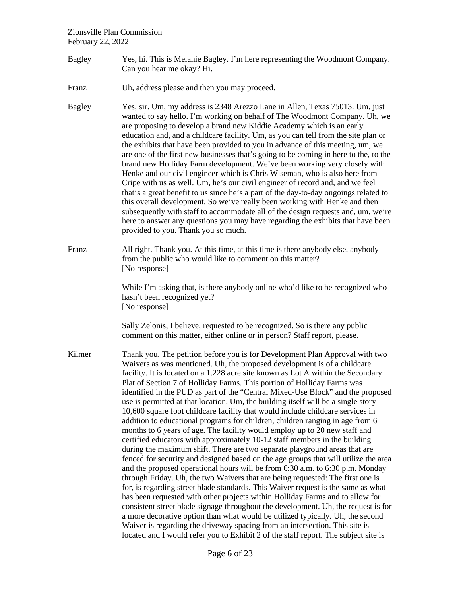- Bagley Yes, hi. This is Melanie Bagley. I'm here representing the Woodmont Company. Can you hear me okay? Hi.
- Franz Uh, address please and then you may proceed.
- Bagley Yes, sir. Um, my address is 2348 Arezzo Lane in Allen, Texas 75013. Um, just wanted to say hello. I'm working on behalf of The Woodmont Company. Uh, we are proposing to develop a brand new Kiddie Academy which is an early education and, and a childcare facility. Um, as you can tell from the site plan or the exhibits that have been provided to you in advance of this meeting, um, we are one of the first new businesses that's going to be coming in here to the, to the brand new Holliday Farm development. We've been working very closely with Henke and our civil engineer which is Chris Wiseman, who is also here from Cripe with us as well. Um, he's our civil engineer of record and, and we feel that's a great benefit to us since he's a part of the day-to-day ongoings related to this overall development. So we've really been working with Henke and then subsequently with staff to accommodate all of the design requests and, um, we're here to answer any questions you may have regarding the exhibits that have been provided to you. Thank you so much.
- Franz All right. Thank you. At this time, at this time is there anybody else, anybody from the public who would like to comment on this matter? [No response]

While I'm asking that, is there any body online who'd like to be recognized who hasn't been recognized yet? [No response]

Sally Zelonis, I believe, requested to be recognized. So is there any public comment on this matter, either online or in person? Staff report, please.

Kilmer Thank you. The petition before you is for Development Plan Approval with two Waivers as was mentioned. Uh, the proposed development is of a childcare facility. It is located on a 1.228 acre site known as Lot A within the Secondary Plat of Section 7 of Holliday Farms. This portion of Holliday Farms was identified in the PUD as part of the "Central Mixed-Use Block" and the proposed use is permitted at that location. Um, the building itself will be a single story 10,600 square foot childcare facility that would include childcare services in addition to educational programs for children, children ranging in age from 6 months to 6 years of age. The facility would employ up to 20 new staff and certified educators with approximately 10-12 staff members in the building during the maximum shift. There are two separate playground areas that are fenced for security and designed based on the age groups that will utilize the area and the proposed operational hours will be from 6:30 a.m. to 6:30 p.m. Monday through Friday. Uh, the two Waivers that are being requested: The first one is for, is regarding street blade standards. This Waiver request is the same as what has been requested with other projects within Holliday Farms and to allow for consistent street blade signage throughout the development. Uh, the request is for a more decorative option than what would be utilized typically. Uh, the second Waiver is regarding the driveway spacing from an intersection. This site is located and I would refer you to Exhibit 2 of the staff report. The subject site is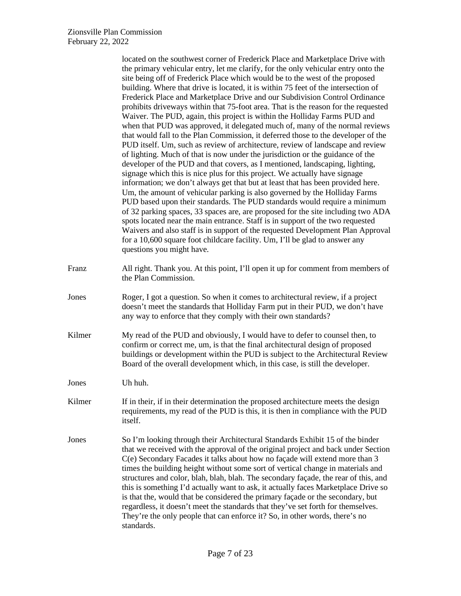|        | located on the southwest corner of Frederick Place and Marketplace Drive with<br>the primary vehicular entry, let me clarify, for the only vehicular entry onto the<br>site being off of Frederick Place which would be to the west of the proposed<br>building. Where that drive is located, it is within 75 feet of the intersection of<br>Frederick Place and Marketplace Drive and our Subdivision Control Ordinance<br>prohibits driveways within that 75-foot area. That is the reason for the requested<br>Waiver. The PUD, again, this project is within the Holliday Farms PUD and<br>when that PUD was approved, it delegated much of, many of the normal reviews<br>that would fall to the Plan Commission, it deferred those to the developer of the<br>PUD itself. Um, such as review of architecture, review of landscape and review<br>of lighting. Much of that is now under the jurisdiction or the guidance of the<br>developer of the PUD and that covers, as I mentioned, landscaping, lighting,<br>signage which this is nice plus for this project. We actually have signage<br>information; we don't always get that but at least that has been provided here.<br>Um, the amount of vehicular parking is also governed by the Holliday Farms<br>PUD based upon their standards. The PUD standards would require a minimum<br>of 32 parking spaces, 33 spaces are, are proposed for the site including two ADA<br>spots located near the main entrance. Staff is in support of the two requested<br>Waivers and also staff is in support of the requested Development Plan Approval<br>for a 10,600 square foot childcare facility. Um, I'll be glad to answer any<br>questions you might have. |
|--------|-----------------------------------------------------------------------------------------------------------------------------------------------------------------------------------------------------------------------------------------------------------------------------------------------------------------------------------------------------------------------------------------------------------------------------------------------------------------------------------------------------------------------------------------------------------------------------------------------------------------------------------------------------------------------------------------------------------------------------------------------------------------------------------------------------------------------------------------------------------------------------------------------------------------------------------------------------------------------------------------------------------------------------------------------------------------------------------------------------------------------------------------------------------------------------------------------------------------------------------------------------------------------------------------------------------------------------------------------------------------------------------------------------------------------------------------------------------------------------------------------------------------------------------------------------------------------------------------------------------------------------------------------------------------------------------------------------------------------|
| Franz  | All right. Thank you. At this point, I'll open it up for comment from members of<br>the Plan Commission.                                                                                                                                                                                                                                                                                                                                                                                                                                                                                                                                                                                                                                                                                                                                                                                                                                                                                                                                                                                                                                                                                                                                                                                                                                                                                                                                                                                                                                                                                                                                                                                                              |
| Jones  | Roger, I got a question. So when it comes to architectural review, if a project<br>doesn't meet the standards that Holliday Farm put in their PUD, we don't have<br>any way to enforce that they comply with their own standards?                                                                                                                                                                                                                                                                                                                                                                                                                                                                                                                                                                                                                                                                                                                                                                                                                                                                                                                                                                                                                                                                                                                                                                                                                                                                                                                                                                                                                                                                                     |
| Kilmer | My read of the PUD and obviously, I would have to defer to counsel then, to<br>confirm or correct me, um, is that the final architectural design of proposed<br>buildings or development within the PUD is subject to the Architectural Review<br>Board of the overall development which, in this case, is still the developer.                                                                                                                                                                                                                                                                                                                                                                                                                                                                                                                                                                                                                                                                                                                                                                                                                                                                                                                                                                                                                                                                                                                                                                                                                                                                                                                                                                                       |
| Jones  | Uh huh.                                                                                                                                                                                                                                                                                                                                                                                                                                                                                                                                                                                                                                                                                                                                                                                                                                                                                                                                                                                                                                                                                                                                                                                                                                                                                                                                                                                                                                                                                                                                                                                                                                                                                                               |
| Kilmer | If in their, if in their determination the proposed architecture meets the design<br>requirements, my read of the PUD is this, it is then in compliance with the PUD<br>itself.                                                                                                                                                                                                                                                                                                                                                                                                                                                                                                                                                                                                                                                                                                                                                                                                                                                                                                                                                                                                                                                                                                                                                                                                                                                                                                                                                                                                                                                                                                                                       |
| Jones  | So I'm looking through their Architectural Standards Exhibit 15 of the binder<br>that we received with the approval of the original project and back under Section<br>C(e) Secondary Facades it talks about how no façade will extend more than 3<br>times the building height without some sort of vertical change in materials and<br>structures and color, blah, blah, blah. The secondary façade, the rear of this, and<br>this is something I'd actually want to ask, it actually faces Marketplace Drive so<br>is that the, would that be considered the primary façade or the secondary, but<br>regardless, it doesn't meet the standards that they've set forth for themselves.<br>They're the only people that can enforce it? So, in other words, there's no<br>standards.                                                                                                                                                                                                                                                                                                                                                                                                                                                                                                                                                                                                                                                                                                                                                                                                                                                                                                                                  |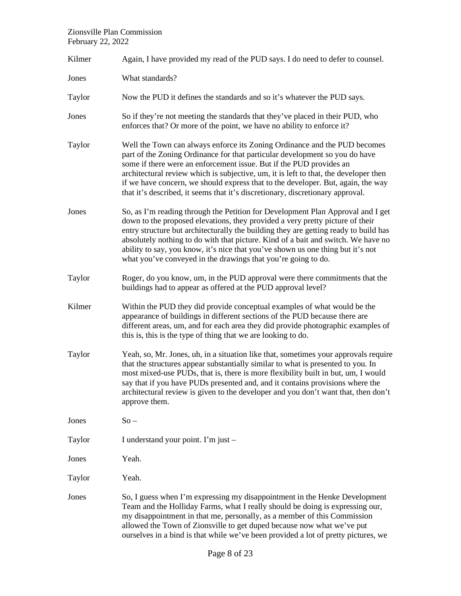| Kilmer | Again, I have provided my read of the PUD says. I do need to defer to counsel.                                                                                                                                                                                                                                                                                                                                                                                                                    |  |  |
|--------|---------------------------------------------------------------------------------------------------------------------------------------------------------------------------------------------------------------------------------------------------------------------------------------------------------------------------------------------------------------------------------------------------------------------------------------------------------------------------------------------------|--|--|
| Jones  | What standards?                                                                                                                                                                                                                                                                                                                                                                                                                                                                                   |  |  |
| Taylor | Now the PUD it defines the standards and so it's whatever the PUD says.                                                                                                                                                                                                                                                                                                                                                                                                                           |  |  |
| Jones  | So if they're not meeting the standards that they've placed in their PUD, who<br>enforces that? Or more of the point, we have no ability to enforce it?                                                                                                                                                                                                                                                                                                                                           |  |  |
| Taylor | Well the Town can always enforce its Zoning Ordinance and the PUD becomes<br>part of the Zoning Ordinance for that particular development so you do have<br>some if there were an enforcement issue. But if the PUD provides an<br>architectural review which is subjective, um, it is left to that, the developer then<br>if we have concern, we should express that to the developer. But, again, the way<br>that it's described, it seems that it's discretionary, discretionary approval.     |  |  |
| Jones  | So, as I'm reading through the Petition for Development Plan Approval and I get<br>down to the proposed elevations, they provided a very pretty picture of their<br>entry structure but architecturally the building they are getting ready to build has<br>absolutely nothing to do with that picture. Kind of a bait and switch. We have no<br>ability to say, you know, it's nice that you've shown us one thing but it's not<br>what you've conveyed in the drawings that you're going to do. |  |  |
| Taylor | Roger, do you know, um, in the PUD approval were there commitments that the<br>buildings had to appear as offered at the PUD approval level?                                                                                                                                                                                                                                                                                                                                                      |  |  |
| Kilmer | Within the PUD they did provide conceptual examples of what would be the<br>appearance of buildings in different sections of the PUD because there are<br>different areas, um, and for each area they did provide photographic examples of<br>this is, this is the type of thing that we are looking to do.                                                                                                                                                                                       |  |  |
| Taylor | Yeah, so, Mr. Jones, uh, in a situation like that, sometimes your approvals require<br>that the structures appear substantially similar to what is presented to you. In<br>most mixed-use PUDs, that is, there is more flexibility built in but, um, I would<br>say that if you have PUDs presented and, and it contains provisions where the<br>architectural review is given to the developer and you don't want that, then don't<br>approve them.                                              |  |  |
| Jones  | $So -$                                                                                                                                                                                                                                                                                                                                                                                                                                                                                            |  |  |
| Taylor | I understand your point. I'm just -                                                                                                                                                                                                                                                                                                                                                                                                                                                               |  |  |
| Jones  | Yeah.                                                                                                                                                                                                                                                                                                                                                                                                                                                                                             |  |  |
| Taylor | Yeah.                                                                                                                                                                                                                                                                                                                                                                                                                                                                                             |  |  |
| Jones  | So, I guess when I'm expressing my disappointment in the Henke Development<br>Team and the Holliday Farms, what I really should be doing is expressing our,<br>my disappointment in that me, personally, as a member of this Commission<br>allowed the Town of Zionsville to get duped because now what we've put<br>ourselves in a bind is that while we've been provided a lot of pretty pictures, we                                                                                           |  |  |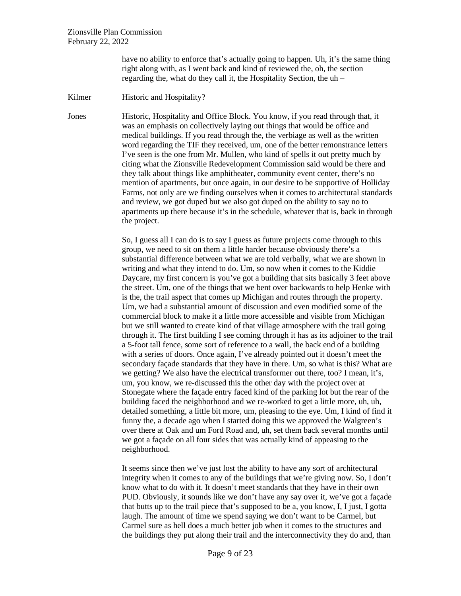have no ability to enforce that's actually going to happen. Uh, it's the same thing right along with, as I went back and kind of reviewed the, oh, the section regarding the, what do they call it, the Hospitality Section, the uh –

Kilmer Historic and Hospitality?

Jones Historic, Hospitality and Office Block. You know, if you read through that, it was an emphasis on collectively laying out things that would be office and medical buildings. If you read through the, the verbiage as well as the written word regarding the TIF they received, um, one of the better remonstrance letters I've seen is the one from Mr. Mullen, who kind of spells it out pretty much by citing what the Zionsville Redevelopment Commission said would be there and they talk about things like amphitheater, community event center, there's no mention of apartments, but once again, in our desire to be supportive of Holliday Farms, not only are we finding ourselves when it comes to architectural standards and review, we got duped but we also got duped on the ability to say no to apartments up there because it's in the schedule, whatever that is, back in through the project.

> So, I guess all I can do is to say I guess as future projects come through to this group, we need to sit on them a little harder because obviously there's a substantial difference between what we are told verbally, what we are shown in writing and what they intend to do. Um, so now when it comes to the Kiddie Daycare, my first concern is you've got a building that sits basically 3 feet above the street. Um, one of the things that we bent over backwards to help Henke with is the, the trail aspect that comes up Michigan and routes through the property. Um, we had a substantial amount of discussion and even modified some of the commercial block to make it a little more accessible and visible from Michigan but we still wanted to create kind of that village atmosphere with the trail going through it. The first building I see coming through it has as its adjoiner to the trail a 5-foot tall fence, some sort of reference to a wall, the back end of a building with a series of doors. Once again, I've already pointed out it doesn't meet the secondary façade standards that they have in there. Um, so what is this? What are we getting? We also have the electrical transformer out there, too? I mean, it's, um, you know, we re-discussed this the other day with the project over at Stonegate where the façade entry faced kind of the parking lot but the rear of the building faced the neighborhood and we re-worked to get a little more, uh, uh, detailed something, a little bit more, um, pleasing to the eye. Um, I kind of find it funny the, a decade ago when I started doing this we approved the Walgreen's over there at Oak and um Ford Road and, uh, set them back several months until we got a façade on all four sides that was actually kind of appeasing to the neighborhood.

> It seems since then we've just lost the ability to have any sort of architectural integrity when it comes to any of the buildings that we're giving now. So, I don't know what to do with it. It doesn't meet standards that they have in their own PUD. Obviously, it sounds like we don't have any say over it, we've got a façade that butts up to the trail piece that's supposed to be a, you know, I, I just, I gotta laugh. The amount of time we spend saying we don't want to be Carmel, but Carmel sure as hell does a much better job when it comes to the structures and the buildings they put along their trail and the interconnectivity they do and, than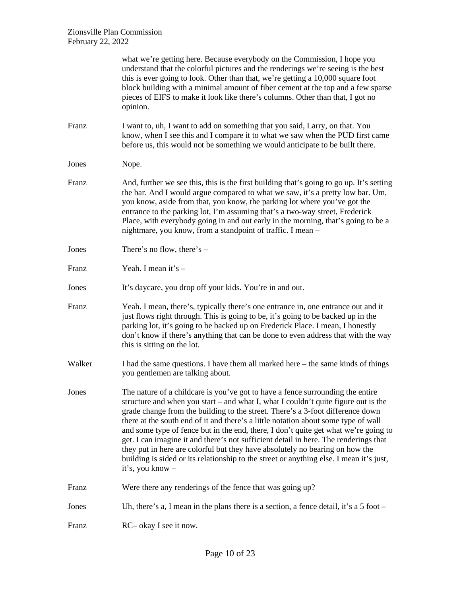|        | what we're getting here. Because everybody on the Commission, I hope you<br>understand that the colorful pictures and the renderings we're seeing is the best<br>this is ever going to look. Other than that, we're getting a 10,000 square foot<br>block building with a minimal amount of fiber cement at the top and a few sparse<br>pieces of EIFS to make it look like there's columns. Other than that, I got no<br>opinion.                                                                                                                                                                                                                                                                                         |
|--------|----------------------------------------------------------------------------------------------------------------------------------------------------------------------------------------------------------------------------------------------------------------------------------------------------------------------------------------------------------------------------------------------------------------------------------------------------------------------------------------------------------------------------------------------------------------------------------------------------------------------------------------------------------------------------------------------------------------------------|
| Franz  | I want to, uh, I want to add on something that you said, Larry, on that. You<br>know, when I see this and I compare it to what we saw when the PUD first came<br>before us, this would not be something we would anticipate to be built there.                                                                                                                                                                                                                                                                                                                                                                                                                                                                             |
| Jones  | Nope.                                                                                                                                                                                                                                                                                                                                                                                                                                                                                                                                                                                                                                                                                                                      |
| Franz  | And, further we see this, this is the first building that's going to go up. It's setting<br>the bar. And I would argue compared to what we saw, it's a pretty low bar. Um,<br>you know, aside from that, you know, the parking lot where you've got the<br>entrance to the parking lot, I'm assuming that's a two-way street, Frederick<br>Place, with everybody going in and out early in the morning, that's going to be a<br>nightmare, you know, from a standpoint of traffic. I mean -                                                                                                                                                                                                                                |
| Jones  | There's no flow, there's $-$                                                                                                                                                                                                                                                                                                                                                                                                                                                                                                                                                                                                                                                                                               |
| Franz  | Yeah. I mean it's -                                                                                                                                                                                                                                                                                                                                                                                                                                                                                                                                                                                                                                                                                                        |
| Jones  | It's daycare, you drop off your kids. You're in and out.                                                                                                                                                                                                                                                                                                                                                                                                                                                                                                                                                                                                                                                                   |
| Franz  | Yeah. I mean, there's, typically there's one entrance in, one entrance out and it<br>just flows right through. This is going to be, it's going to be backed up in the<br>parking lot, it's going to be backed up on Frederick Place. I mean, I honestly<br>don't know if there's anything that can be done to even address that with the way<br>this is sitting on the lot.                                                                                                                                                                                                                                                                                                                                                |
| Walker | I had the same questions. I have them all marked here – the same kinds of things<br>you gentlemen are talking about.                                                                                                                                                                                                                                                                                                                                                                                                                                                                                                                                                                                                       |
| Jones  | The nature of a childcare is you've got to have a fence surrounding the entire<br>structure and when you start – and what I, what I couldn't quite figure out is the<br>grade change from the building to the street. There's a 3-foot difference down<br>there at the south end of it and there's a little notation about some type of wall<br>and some type of fence but in the end, there, I don't quite get what we're going to<br>get. I can imagine it and there's not sufficient detail in here. The renderings that<br>they put in here are colorful but they have absolutely no bearing on how the<br>building is sided or its relationship to the street or anything else. I mean it's just,<br>it's, you know – |
| Franz  | Were there any renderings of the fence that was going up?                                                                                                                                                                                                                                                                                                                                                                                                                                                                                                                                                                                                                                                                  |
| Jones  | Uh, there's a, I mean in the plans there is a section, a fence detail, it's a $5$ foot $-$                                                                                                                                                                                                                                                                                                                                                                                                                                                                                                                                                                                                                                 |
| Franz  | RC– okay I see it now.                                                                                                                                                                                                                                                                                                                                                                                                                                                                                                                                                                                                                                                                                                     |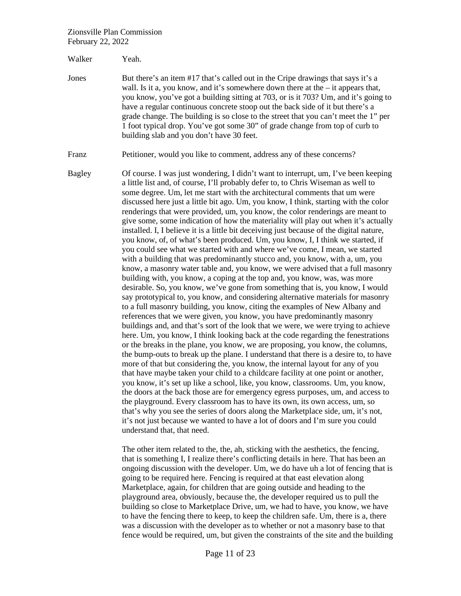Walker Yeah.

Jones But there's an item #17 that's called out in the Cripe drawings that says it's a wall. Is it a, you know, and it's somewhere down there at the – it appears that, you know, you've got a building sitting at 703, or is it 703? Um, and it's going to have a regular continuous concrete stoop out the back side of it but there's a grade change. The building is so close to the street that you can't meet the 1" per 1 foot typical drop. You've got some 30" of grade change from top of curb to building slab and you don't have 30 feet.

Franz Petitioner, would you like to comment, address any of these concerns?

Bagley Of course. I was just wondering, I didn't want to interrupt, um, I've been keeping a little list and, of course, I'll probably defer to, to Chris Wiseman as well to some degree. Um, let me start with the architectural comments that um were discussed here just a little bit ago. Um, you know, I think, starting with the color renderings that were provided, um, you know, the color renderings are meant to give some, some indication of how the materiality will play out when it's actually installed. I, I believe it is a little bit deceiving just because of the digital nature, you know, of, of what's been produced. Um, you know, I, I think we started, if you could see what we started with and where we've come, I mean, we started with a building that was predominantly stucco and, you know, with a, um, you know, a masonry water table and, you know, we were advised that a full masonry building with, you know, a coping at the top and, you know, was, was more desirable. So, you know, we've gone from something that is, you know, I would say prototypical to, you know, and considering alternative materials for masonry to a full masonry building, you know, citing the examples of New Albany and references that we were given, you know, you have predominantly masonry buildings and, and that's sort of the look that we were, we were trying to achieve here. Um, you know, I think looking back at the code regarding the fenestrations or the breaks in the plane, you know, we are proposing, you know, the columns, the bump-outs to break up the plane. I understand that there is a desire to, to have more of that but considering the, you know, the internal layout for any of you that have maybe taken your child to a childcare facility at one point or another, you know, it's set up like a school, like, you know, classrooms. Um, you know, the doors at the back those are for emergency egress purposes, um, and access to the playground. Every classroom has to have its own, its own access, um, so that's why you see the series of doors along the Marketplace side, um, it's not, it's not just because we wanted to have a lot of doors and I'm sure you could understand that, that need.

> The other item related to the, the, ah, sticking with the aesthetics, the fencing, that is something I, I realize there's conflicting details in here. That has been an ongoing discussion with the developer. Um, we do have uh a lot of fencing that is going to be required here. Fencing is required at that east elevation along Marketplace, again, for children that are going outside and heading to the playground area, obviously, because the, the developer required us to pull the building so close to Marketplace Drive, um, we had to have, you know, we have to have the fencing there to keep, to keep the children safe. Um, there is a, there was a discussion with the developer as to whether or not a masonry base to that fence would be required, um, but given the constraints of the site and the building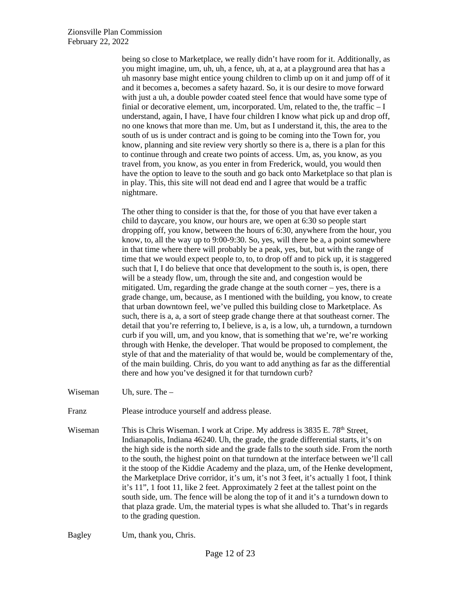being so close to Marketplace, we really didn't have room for it. Additionally, as you might imagine, um, uh, uh, a fence, uh, at a, at a playground area that has a uh masonry base might entice young children to climb up on it and jump off of it and it becomes a, becomes a safety hazard. So, it is our desire to move forward with just a uh, a double powder coated steel fence that would have some type of finial or decorative element, um, incorporated. Um, related to the, the traffic – I understand, again, I have, I have four children I know what pick up and drop off, no one knows that more than me. Um, but as I understand it, this, the area to the south of us is under contract and is going to be coming into the Town for, you know, planning and site review very shortly so there is a, there is a plan for this to continue through and create two points of access. Um, as, you know, as you travel from, you know, as you enter in from Frederick, would, you would then have the option to leave to the south and go back onto Marketplace so that plan is in play. This, this site will not dead end and I agree that would be a traffic nightmare.

The other thing to consider is that the, for those of you that have ever taken a child to daycare, you know, our hours are, we open at 6:30 so people start dropping off, you know, between the hours of 6:30, anywhere from the hour, you know, to, all the way up to 9:00-9:30. So, yes, will there be a, a point somewhere in that time where there will probably be a peak, yes, but, but with the range of time that we would expect people to, to, to drop off and to pick up, it is staggered such that I, I do believe that once that development to the south is, is open, there will be a steady flow, um, through the site and, and congestion would be mitigated. Um, regarding the grade change at the south corner – yes, there is a grade change, um, because, as I mentioned with the building, you know, to create that urban downtown feel, we've pulled this building close to Marketplace. As such, there is a, a, a sort of steep grade change there at that southeast corner. The detail that you're referring to, I believe, is a, is a low, uh, a turndown, a turndown curb if you will, um, and you know, that is something that we're, we're working through with Henke, the developer. That would be proposed to complement, the style of that and the materiality of that would be, would be complementary of the, of the main building. Chris, do you want to add anything as far as the differential there and how you've designed it for that turndown curb?

Wiseman Uh, sure. The –

Franz Please introduce yourself and address please.

Wiseman This is Chris Wiseman. I work at Cripe. My address is 3835 E. 78<sup>th</sup> Street, Indianapolis, Indiana 46240. Uh, the grade, the grade differential starts, it's on the high side is the north side and the grade falls to the south side. From the north to the south, the highest point on that turndown at the interface between we'll call it the stoop of the Kiddie Academy and the plaza, um, of the Henke development, the Marketplace Drive corridor, it's um, it's not 3 feet, it's actually 1 foot, I think it's 11", 1 foot 11, like 2 feet. Approximately 2 feet at the tallest point on the south side, um. The fence will be along the top of it and it's a turndown down to that plaza grade. Um, the material types is what she alluded to. That's in regards to the grading question.

Bagley Um, thank you, Chris.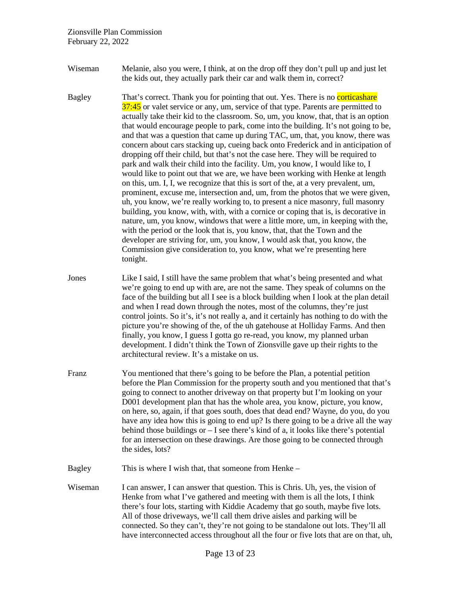- Wiseman Melanie, also you were, I think, at on the drop off they don't pull up and just let the kids out, they actually park their car and walk them in, correct?
- Bagley That's correct. Thank you for pointing that out. Yes. There is no corticashare 37:45 or valet service or any, um, service of that type. Parents are permitted to actually take their kid to the classroom. So, um, you know, that, that is an option that would encourage people to park, come into the building. It's not going to be, and that was a question that came up during TAC, um, that, you know, there was concern about cars stacking up, cueing back onto Frederick and in anticipation of dropping off their child, but that's not the case here. They will be required to park and walk their child into the facility. Um, you know, I would like to, I would like to point out that we are, we have been working with Henke at length on this, um. I, I, we recognize that this is sort of the, at a very prevalent, um, prominent, excuse me, intersection and, um, from the photos that we were given, uh, you know, we're really working to, to present a nice masonry, full masonry building, you know, with, with, with a cornice or coping that is, is decorative in nature, um, you know, windows that were a little more, um, in keeping with the, with the period or the look that is, you know, that, that the Town and the developer are striving for, um, you know, I would ask that, you know, the Commission give consideration to, you know, what we're presenting here tonight.
- Jones Like I said, I still have the same problem that what's being presented and what we're going to end up with are, are not the same. They speak of columns on the face of the building but all I see is a block building when I look at the plan detail and when I read down through the notes, most of the columns, they're just control joints. So it's, it's not really a, and it certainly has nothing to do with the picture you're showing of the, of the uh gatehouse at Holliday Farms. And then finally, you know, I guess I gotta go re-read, you know, my planned urban development. I didn't think the Town of Zionsville gave up their rights to the architectural review. It's a mistake on us.
- Franz You mentioned that there's going to be before the Plan, a potential petition before the Plan Commission for the property south and you mentioned that that's going to connect to another driveway on that property but I'm looking on your D001 development plan that has the whole area, you know, picture, you know, on here, so, again, if that goes south, does that dead end? Wayne, do you, do you have any idea how this is going to end up? Is there going to be a drive all the way behind those buildings or – I see there's kind of a, it looks like there's potential for an intersection on these drawings. Are those going to be connected through the sides, lots?
- Bagley This is where I wish that, that someone from Henke –
- Wiseman I can answer, I can answer that question. This is Chris. Uh, yes, the vision of Henke from what I've gathered and meeting with them is all the lots, I think there's four lots, starting with Kiddie Academy that go south, maybe five lots. All of those driveways, we'll call them drive aisles and parking will be connected. So they can't, they're not going to be standalone out lots. They'll all have interconnected access throughout all the four or five lots that are on that, uh,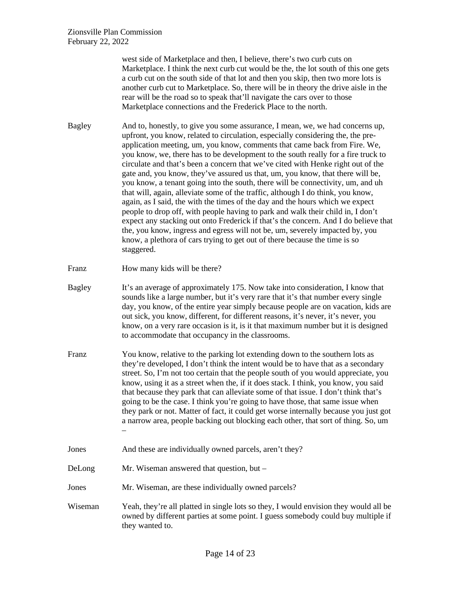west side of Marketplace and then, I believe, there's two curb cuts on Marketplace. I think the next curb cut would be the, the lot south of this one gets a curb cut on the south side of that lot and then you skip, then two more lots is another curb cut to Marketplace. So, there will be in theory the drive aisle in the rear will be the road so to speak that'll navigate the cars over to those Marketplace connections and the Frederick Place to the north.

Bagley And to, honestly, to give you some assurance, I mean, we, we had concerns up, upfront, you know, related to circulation, especially considering the, the preapplication meeting, um, you know, comments that came back from Fire. We, you know, we, there has to be development to the south really for a fire truck to circulate and that's been a concern that we've cited with Henke right out of the gate and, you know, they've assured us that, um, you know, that there will be, you know, a tenant going into the south, there will be connectivity, um, and uh that will, again, alleviate some of the traffic, although I do think, you know, again, as I said, the with the times of the day and the hours which we expect people to drop off, with people having to park and walk their child in, I don't expect any stacking out onto Frederick if that's the concern. And I do believe that the, you know, ingress and egress will not be, um, severely impacted by, you know, a plethora of cars trying to get out of there because the time is so staggered.

- Franz How many kids will be there?
- Bagley It's an average of approximately 175. Now take into consideration, I know that sounds like a large number, but it's very rare that it's that number every single day, you know, of the entire year simply because people are on vacation, kids are out sick, you know, different, for different reasons, it's never, it's never, you know, on a very rare occasion is it, is it that maximum number but it is designed to accommodate that occupancy in the classrooms.
- Franz You know, relative to the parking lot extending down to the southern lots as they're developed, I don't think the intent would be to have that as a secondary street. So, I'm not too certain that the people south of you would appreciate, you know, using it as a street when the, if it does stack. I think, you know, you said that because they park that can alleviate some of that issue. I don't think that's going to be the case. I think you're going to have those, that same issue when they park or not. Matter of fact, it could get worse internally because you just got a narrow area, people backing out blocking each other, that sort of thing. So, um –
- Jones And these are individually owned parcels, aren't they?
- DeLong Mr. Wiseman answered that question, but –
- Jones Mr. Wiseman, are these individually owned parcels?
- Wiseman Yeah, they're all platted in single lots so they, I would envision they would all be owned by different parties at some point. I guess somebody could buy multiple if they wanted to.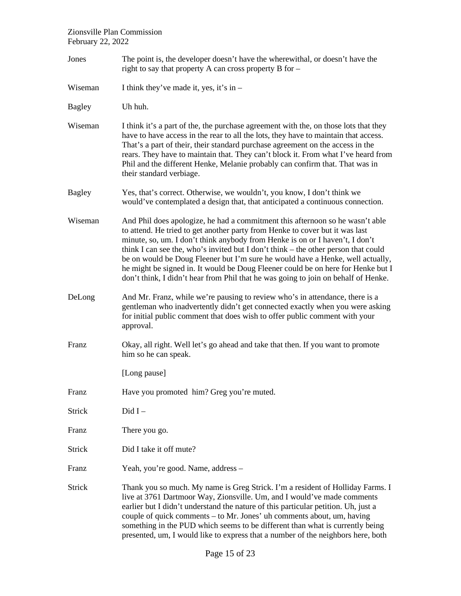Jones The point is, the developer doesn't have the wherewithal, or doesn't have the right to say that property A can cross property B for – Wiseman I think they've made it, yes, it's in  $-$ Bagley Uh huh. Wiseman I think it's a part of the, the purchase agreement with the, on those lots that they have to have access in the rear to all the lots, they have to maintain that access. That's a part of their, their standard purchase agreement on the access in the rears. They have to maintain that. They can't block it. From what I've heard from Phil and the different Henke, Melanie probably can confirm that. That was in their standard verbiage. Bagley Yes, that's correct. Otherwise, we wouldn't, you know, I don't think we would've contemplated a design that, that anticipated a continuous connection. Wiseman And Phil does apologize, he had a commitment this afternoon so he wasn't able to attend. He tried to get another party from Henke to cover but it was last minute, so, um. I don't think anybody from Henke is on or I haven't, I don't think I can see the, who's invited but I don't think – the other person that could be on would be Doug Fleener but I'm sure he would have a Henke, well actually, he might be signed in. It would be Doug Fleener could be on here for Henke but I don't think, I didn't hear from Phil that he was going to join on behalf of Henke. DeLong And Mr. Franz, while we're pausing to review who's in attendance, there is a gentleman who inadvertently didn't get connected exactly when you were asking for initial public comment that does wish to offer public comment with your approval. Franz Okay, all right. Well let's go ahead and take that then. If you want to promote him so he can speak. [Long pause] Franz Have you promoted him? Greg you're muted. Strick Did I – Franz There you go. Strick Did I take it off mute? Franz Yeah, you're good. Name, address – Strick Thank you so much. My name is Greg Strick. I'm a resident of Holliday Farms. I live at 3761 Dartmoor Way, Zionsville. Um, and I would've made comments earlier but I didn't understand the nature of this particular petition. Uh, just a couple of quick comments – to Mr. Jones' uh comments about, um, having something in the PUD which seems to be different than what is currently being presented, um, I would like to express that a number of the neighbors here, both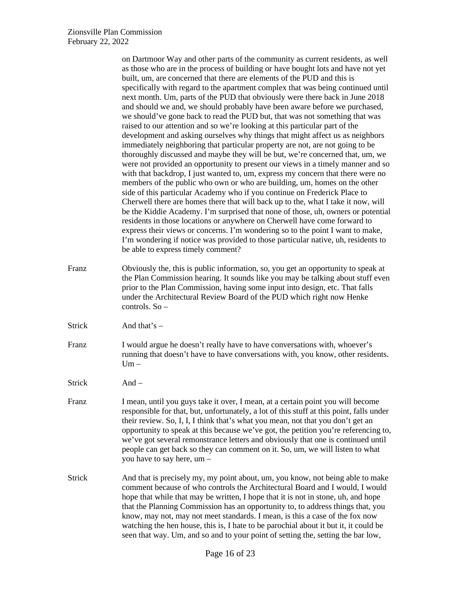|               | on Dartmoor Way and other parts of the community as current residents, as well<br>as those who are in the process of building or have bought lots and have not yet<br>built, um, are concerned that there are elements of the PUD and this is<br>specifically with regard to the apartment complex that was being continued until<br>next month. Um, parts of the PUD that obviously were there back in June 2018<br>and should we and, we should probably have been aware before we purchased,<br>we should've gone back to read the PUD but, that was not something that was<br>raised to our attention and so we're looking at this particular part of the<br>development and asking ourselves why things that might affect us as neighbors<br>immediately neighboring that particular property are not, are not going to be<br>thoroughly discussed and maybe they will be but, we're concerned that, um, we<br>were not provided an opportunity to present our views in a timely manner and so<br>with that backdrop, I just wanted to, um, express my concern that there were no<br>members of the public who own or who are building, um, homes on the other<br>side of this particular Academy who if you continue on Frederick Place to<br>Cherwell there are homes there that will back up to the, what I take it now, will<br>be the Kiddie Academy. I'm surprised that none of those, uh, owners or potential<br>residents in those locations or anywhere on Cherwell have come forward to<br>express their views or concerns. I'm wondering so to the point I want to make,<br>I'm wondering if notice was provided to those particular native, uh, residents to<br>be able to express timely comment? |
|---------------|---------------------------------------------------------------------------------------------------------------------------------------------------------------------------------------------------------------------------------------------------------------------------------------------------------------------------------------------------------------------------------------------------------------------------------------------------------------------------------------------------------------------------------------------------------------------------------------------------------------------------------------------------------------------------------------------------------------------------------------------------------------------------------------------------------------------------------------------------------------------------------------------------------------------------------------------------------------------------------------------------------------------------------------------------------------------------------------------------------------------------------------------------------------------------------------------------------------------------------------------------------------------------------------------------------------------------------------------------------------------------------------------------------------------------------------------------------------------------------------------------------------------------------------------------------------------------------------------------------------------------------------------------------------------------------------------------------------------|
| Franz         | Obviously the, this is public information, so, you get an opportunity to speak at<br>the Plan Commission hearing. It sounds like you may be talking about stuff even<br>prior to the Plan Commission, having some input into design, etc. That falls<br>under the Architectural Review Board of the PUD which right now Henke<br>controls. So -                                                                                                                                                                                                                                                                                                                                                                                                                                                                                                                                                                                                                                                                                                                                                                                                                                                                                                                                                                                                                                                                                                                                                                                                                                                                                                                                                                     |
| <b>Strick</b> | And that's $-$                                                                                                                                                                                                                                                                                                                                                                                                                                                                                                                                                                                                                                                                                                                                                                                                                                                                                                                                                                                                                                                                                                                                                                                                                                                                                                                                                                                                                                                                                                                                                                                                                                                                                                      |
| Franz         | I would argue he doesn't really have to have conversations with, whoever's<br>running that doesn't have to have conversations with, you know, other residents.<br>$Um -$                                                                                                                                                                                                                                                                                                                                                                                                                                                                                                                                                                                                                                                                                                                                                                                                                                                                                                                                                                                                                                                                                                                                                                                                                                                                                                                                                                                                                                                                                                                                            |
| <b>Strick</b> | And $-$                                                                                                                                                                                                                                                                                                                                                                                                                                                                                                                                                                                                                                                                                                                                                                                                                                                                                                                                                                                                                                                                                                                                                                                                                                                                                                                                                                                                                                                                                                                                                                                                                                                                                                             |
| Franz         | I mean, until you guys take it over, I mean, at a certain point you will become<br>responsible for that, but, unfortunately, a lot of this stuff at this point, falls under<br>their review. So, I, I, I think that's what you mean, not that you don't get an<br>opportunity to speak at this because we've got, the petition you're referencing to,<br>we've got several remonstrance letters and obviously that one is continued until<br>people can get back so they can comment on it. So, um, we will listen to what<br>you have to say here, um -                                                                                                                                                                                                                                                                                                                                                                                                                                                                                                                                                                                                                                                                                                                                                                                                                                                                                                                                                                                                                                                                                                                                                            |
| <b>Strick</b> | And that is precisely my, my point about, um, you know, not being able to make<br>comment because of who controls the Architectural Board and I would, I would<br>hope that while that may be written, I hope that it is not in stone, uh, and hope<br>that the Planning Commission has an opportunity to, to address things that, you<br>know, may not, may not meet standards. I mean, is this a case of the fox now<br>watching the hen house, this is, I hate to be parochial about it but it, it could be<br>seen that way. Um, and so and to your point of setting the, setting the bar low,                                                                                                                                                                                                                                                                                                                                                                                                                                                                                                                                                                                                                                                                                                                                                                                                                                                                                                                                                                                                                                                                                                                  |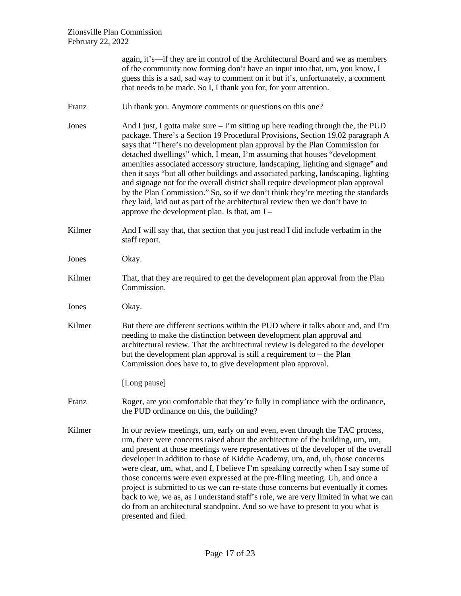|        | again, it's—if they are in control of the Architectural Board and we as members<br>of the community now forming don't have an input into that, um, you know, I<br>guess this is a sad, sad way to comment on it but it's, unfortunately, a comment<br>that needs to be made. So I, I thank you for, for your attention.                                                                                                                                                                                                                                                                                                                                                                                                                                                                                              |
|--------|----------------------------------------------------------------------------------------------------------------------------------------------------------------------------------------------------------------------------------------------------------------------------------------------------------------------------------------------------------------------------------------------------------------------------------------------------------------------------------------------------------------------------------------------------------------------------------------------------------------------------------------------------------------------------------------------------------------------------------------------------------------------------------------------------------------------|
| Franz  | Uh thank you. Anymore comments or questions on this one?                                                                                                                                                                                                                                                                                                                                                                                                                                                                                                                                                                                                                                                                                                                                                             |
| Jones  | And I just, I gotta make sure $-1$ 'm sitting up here reading through the, the PUD<br>package. There's a Section 19 Procedural Provisions, Section 19.02 paragraph A<br>says that "There's no development plan approval by the Plan Commission for<br>detached dwellings" which, I mean, I'm assuming that houses "development<br>amenities associated accessory structure, landscaping, lighting and signage" and<br>then it says "but all other buildings and associated parking, landscaping, lighting<br>and signage not for the overall district shall require development plan approval<br>by the Plan Commission." So, so if we don't think they're meeting the standards<br>they laid, laid out as part of the architectural review then we don't have to<br>approve the development plan. Is that, am $I -$ |
| Kilmer | And I will say that, that section that you just read I did include verbatim in the<br>staff report.                                                                                                                                                                                                                                                                                                                                                                                                                                                                                                                                                                                                                                                                                                                  |
| Jones  | Okay.                                                                                                                                                                                                                                                                                                                                                                                                                                                                                                                                                                                                                                                                                                                                                                                                                |
| Kilmer | That, that they are required to get the development plan approval from the Plan<br>Commission.                                                                                                                                                                                                                                                                                                                                                                                                                                                                                                                                                                                                                                                                                                                       |
| Jones  | Okay.                                                                                                                                                                                                                                                                                                                                                                                                                                                                                                                                                                                                                                                                                                                                                                                                                |
| Kilmer | But there are different sections within the PUD where it talks about and, and I'm<br>needing to make the distinction between development plan approval and<br>architectural review. That the architectural review is delegated to the developer<br>but the development plan approval is still a requirement to $-$ the Plan<br>Commission does have to, to give development plan approval.                                                                                                                                                                                                                                                                                                                                                                                                                           |
|        | [Long pause]                                                                                                                                                                                                                                                                                                                                                                                                                                                                                                                                                                                                                                                                                                                                                                                                         |
| Franz  | Roger, are you comfortable that they're fully in compliance with the ordinance,<br>the PUD ordinance on this, the building?                                                                                                                                                                                                                                                                                                                                                                                                                                                                                                                                                                                                                                                                                          |
| Kilmer | In our review meetings, um, early on and even, even through the TAC process,<br>um, there were concerns raised about the architecture of the building, um, um,<br>and present at those meetings were representatives of the developer of the overall<br>developer in addition to those of Kiddie Academy, um, and, uh, those concerns<br>were clear, um, what, and I, I believe I'm speaking correctly when I say some of<br>those concerns were even expressed at the pre-filing meeting. Uh, and once a<br>project is submitted to us we can re-state those concerns but eventually it comes<br>back to we, we as, as I understand staff's role, we are very limited in what we can<br>do from an architectural standpoint. And so we have to present to you what is<br>presented and filed.                       |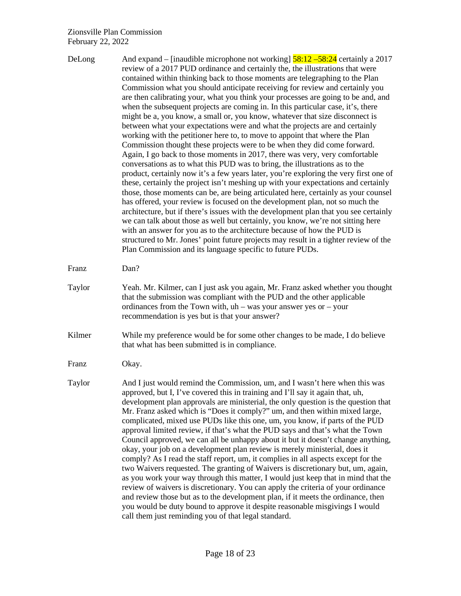| DeLong | And expand – [inaudible microphone not working] $\frac{58:12 - 58:24}{58:12 - 58:24}$ certainly a 2017<br>review of a 2017 PUD ordinance and certainly the, the illustrations that were<br>contained within thinking back to those moments are telegraphing to the Plan<br>Commission what you should anticipate receiving for review and certainly you<br>are then calibrating your, what you think your processes are going to be and, and<br>when the subsequent projects are coming in. In this particular case, it's, there<br>might be a, you know, a small or, you know, whatever that size disconnect is<br>between what your expectations were and what the projects are and certainly<br>working with the petitioner here to, to move to appoint that where the Plan<br>Commission thought these projects were to be when they did come forward.<br>Again, I go back to those moments in 2017, there was very, very comfortable<br>conversations as to what this PUD was to bring, the illustrations as to the<br>product, certainly now it's a few years later, you're exploring the very first one of<br>these, certainly the project isn't meshing up with your expectations and certainly<br>those, those moments can be, are being articulated here, certainly as your counsel<br>has offered, your review is focused on the development plan, not so much the<br>architecture, but if there's issues with the development plan that you see certainly<br>we can talk about those as well but certainly, you know, we're not sitting here<br>with an answer for you as to the architecture because of how the PUD is<br>structured to Mr. Jones' point future projects may result in a tighter review of the<br>Plan Commission and its language specific to future PUDs. |
|--------|------------------------------------------------------------------------------------------------------------------------------------------------------------------------------------------------------------------------------------------------------------------------------------------------------------------------------------------------------------------------------------------------------------------------------------------------------------------------------------------------------------------------------------------------------------------------------------------------------------------------------------------------------------------------------------------------------------------------------------------------------------------------------------------------------------------------------------------------------------------------------------------------------------------------------------------------------------------------------------------------------------------------------------------------------------------------------------------------------------------------------------------------------------------------------------------------------------------------------------------------------------------------------------------------------------------------------------------------------------------------------------------------------------------------------------------------------------------------------------------------------------------------------------------------------------------------------------------------------------------------------------------------------------------------------------------------------------------------------------------------------------------------------------------|
| Franz  | Dan?                                                                                                                                                                                                                                                                                                                                                                                                                                                                                                                                                                                                                                                                                                                                                                                                                                                                                                                                                                                                                                                                                                                                                                                                                                                                                                                                                                                                                                                                                                                                                                                                                                                                                                                                                                                     |
| Taylor | Yeah. Mr. Kilmer, can I just ask you again, Mr. Franz asked whether you thought<br>that the submission was compliant with the PUD and the other applicable<br>ordinances from the Town with, $uh$ – was your answer yes or – your<br>recommendation is yes but is that your answer?                                                                                                                                                                                                                                                                                                                                                                                                                                                                                                                                                                                                                                                                                                                                                                                                                                                                                                                                                                                                                                                                                                                                                                                                                                                                                                                                                                                                                                                                                                      |
| Kilmer | While my preference would be for some other changes to be made, I do believe<br>that what has been submitted is in compliance.                                                                                                                                                                                                                                                                                                                                                                                                                                                                                                                                                                                                                                                                                                                                                                                                                                                                                                                                                                                                                                                                                                                                                                                                                                                                                                                                                                                                                                                                                                                                                                                                                                                           |
| Franz  | Okay.                                                                                                                                                                                                                                                                                                                                                                                                                                                                                                                                                                                                                                                                                                                                                                                                                                                                                                                                                                                                                                                                                                                                                                                                                                                                                                                                                                                                                                                                                                                                                                                                                                                                                                                                                                                    |
| Taylor | And I just would remind the Commission, um, and I wasn't here when this was<br>approved, but I, I've covered this in training and I'll say it again that, uh,<br>development plan approvals are ministerial, the only question is the question that<br>Mr. Franz asked which is "Does it comply?" um, and then within mixed large,<br>complicated, mixed use PUDs like this one, um, you know, if parts of the PUD<br>approval limited review, if that's what the PUD says and that's what the Town<br>Council approved, we can all be unhappy about it but it doesn't change anything,<br>okay, your job on a development plan review is merely ministerial, does it<br>comply? As I read the staff report, um, it complies in all aspects except for the<br>two Waivers requested. The granting of Waivers is discretionary but, um, again,<br>as you work your way through this matter, I would just keep that in mind that the<br>review of waivers is discretionary. You can apply the criteria of your ordinance<br>and review those but as to the development plan, if it meets the ordinance, then<br>you would be duty bound to approve it despite reasonable misgivings I would<br>call them just reminding you of that legal standard.                                                                                                                                                                                                                                                                                                                                                                                                                                                                                                                                        |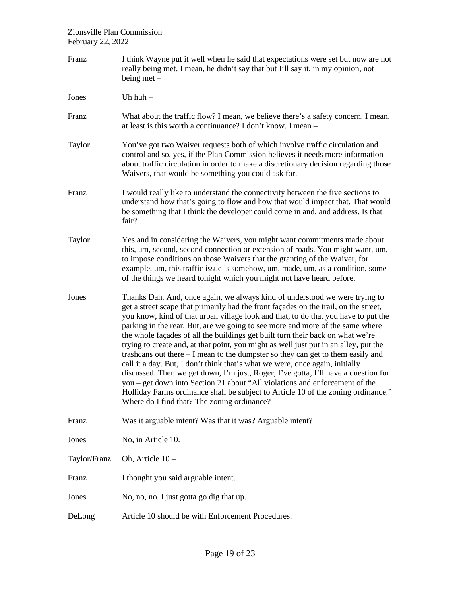| Franz        | I think Wayne put it well when he said that expectations were set but now are not<br>really being met. I mean, he didn't say that but I'll say it, in my opinion, not<br>being met $-$                                                                                                                                                                                                                                                                                                                                                                                                                                                                                                                                                                                                                                                                                                                                                                                                             |
|--------------|----------------------------------------------------------------------------------------------------------------------------------------------------------------------------------------------------------------------------------------------------------------------------------------------------------------------------------------------------------------------------------------------------------------------------------------------------------------------------------------------------------------------------------------------------------------------------------------------------------------------------------------------------------------------------------------------------------------------------------------------------------------------------------------------------------------------------------------------------------------------------------------------------------------------------------------------------------------------------------------------------|
| Jones        | Uh $huh -$                                                                                                                                                                                                                                                                                                                                                                                                                                                                                                                                                                                                                                                                                                                                                                                                                                                                                                                                                                                         |
| Franz        | What about the traffic flow? I mean, we believe there's a safety concern. I mean,<br>at least is this worth a continuance? I don't know. I mean -                                                                                                                                                                                                                                                                                                                                                                                                                                                                                                                                                                                                                                                                                                                                                                                                                                                  |
| Taylor       | You've got two Waiver requests both of which involve traffic circulation and<br>control and so, yes, if the Plan Commission believes it needs more information<br>about traffic circulation in order to make a discretionary decision regarding those<br>Waivers, that would be something you could ask for.                                                                                                                                                                                                                                                                                                                                                                                                                                                                                                                                                                                                                                                                                       |
| Franz        | I would really like to understand the connectivity between the five sections to<br>understand how that's going to flow and how that would impact that. That would<br>be something that I think the developer could come in and, and address. Is that<br>fair?                                                                                                                                                                                                                                                                                                                                                                                                                                                                                                                                                                                                                                                                                                                                      |
| Taylor       | Yes and in considering the Waivers, you might want commitments made about<br>this, um, second, second connection or extension of roads. You might want, um,<br>to impose conditions on those Waivers that the granting of the Waiver, for<br>example, um, this traffic issue is somehow, um, made, um, as a condition, some<br>of the things we heard tonight which you might not have heard before.                                                                                                                                                                                                                                                                                                                                                                                                                                                                                                                                                                                               |
| Jones        | Thanks Dan. And, once again, we always kind of understood we were trying to<br>get a street scape that primarily had the front façades on the trail, on the street,<br>you know, kind of that urban village look and that, to do that you have to put the<br>parking in the rear. But, are we going to see more and more of the same where<br>the whole façades of all the buildings get built turn their back on what we're<br>trying to create and, at that point, you might as well just put in an alley, put the<br>trashcans out there $- I$ mean to the dumpster so they can get to them easily and<br>call it a day. But, I don't think that's what we were, once again, initially<br>discussed. Then we get down, I'm just, Roger, I've gotta, I'll have a question for<br>you – get down into Section 21 about "All violations and enforcement of the<br>Holliday Farms ordinance shall be subject to Article 10 of the zoning ordinance."<br>Where do I find that? The zoning ordinance? |
| Franz        | Was it arguable intent? Was that it was? Arguable intent?                                                                                                                                                                                                                                                                                                                                                                                                                                                                                                                                                                                                                                                                                                                                                                                                                                                                                                                                          |
| Jones        | No, in Article 10.                                                                                                                                                                                                                                                                                                                                                                                                                                                                                                                                                                                                                                                                                                                                                                                                                                                                                                                                                                                 |
| Taylor/Franz | Oh, Article 10-                                                                                                                                                                                                                                                                                                                                                                                                                                                                                                                                                                                                                                                                                                                                                                                                                                                                                                                                                                                    |
| Franz        | I thought you said arguable intent.                                                                                                                                                                                                                                                                                                                                                                                                                                                                                                                                                                                                                                                                                                                                                                                                                                                                                                                                                                |
| Jones        | No, no, no. I just gotta go dig that up.                                                                                                                                                                                                                                                                                                                                                                                                                                                                                                                                                                                                                                                                                                                                                                                                                                                                                                                                                           |
| DeLong       | Article 10 should be with Enforcement Procedures.                                                                                                                                                                                                                                                                                                                                                                                                                                                                                                                                                                                                                                                                                                                                                                                                                                                                                                                                                  |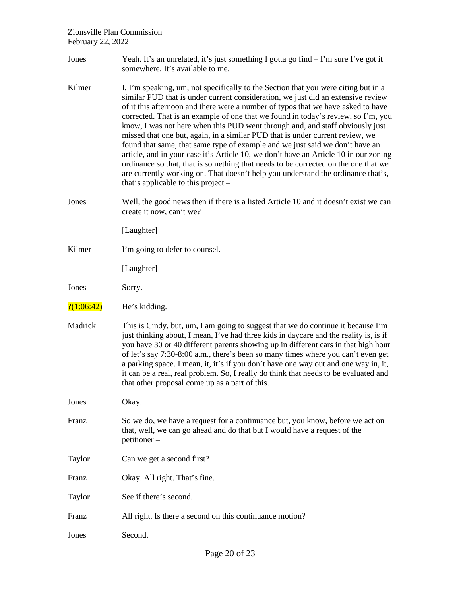- Jones Yeah. It's an unrelated, it's just something I gotta go find I'm sure I've got it somewhere. It's available to me.
- Kilmer I, I'm speaking, um, not specifically to the Section that you were citing but in a similar PUD that is under current consideration, we just did an extensive review of it this afternoon and there were a number of typos that we have asked to have corrected. That is an example of one that we found in today's review, so I'm, you know, I was not here when this PUD went through and, and staff obviously just missed that one but, again, in a similar PUD that is under current review, we found that same, that same type of example and we just said we don't have an article, and in your case it's Article 10, we don't have an Article 10 in our zoning ordinance so that, that is something that needs to be corrected on the one that we are currently working on. That doesn't help you understand the ordinance that's, that's applicable to this project –
- Jones Well, the good news then if there is a listed Article 10 and it doesn't exist we can create it now, can't we?

[Laughter]

Kilmer I'm going to defer to counsel.

[Laughter]

Jones Sorry.

- $\frac{?(1:06:42)}{?}$  He's kidding.
- Madrick This is Cindy, but, um, I am going to suggest that we do continue it because I'm just thinking about, I mean, I've had three kids in daycare and the reality is, is if you have 30 or 40 different parents showing up in different cars in that high hour of let's say 7:30-8:00 a.m., there's been so many times where you can't even get a parking space. I mean, it, it's if you don't have one way out and one way in, it, it can be a real, real problem. So, I really do think that needs to be evaluated and that other proposal come up as a part of this.

Jones Okay.

- Franz So we do, we have a request for a continuance but, you know, before we act on that, well, we can go ahead and do that but I would have a request of the petitioner –
- Taylor Can we get a second first?
- Franz Okay. All right. That's fine.
- Taylor See if there's second.
- Franz All right. Is there a second on this continuance motion?
- Jones Second.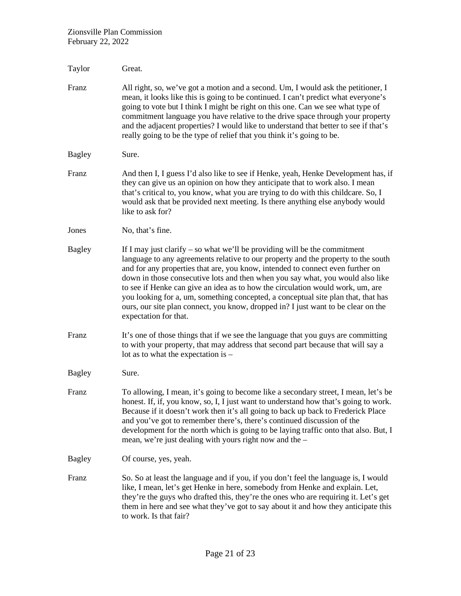| Taylor        | Great.                                                                                                                                                                                                                                                                                                                                                                                                                                                                                                                                                                                                                    |
|---------------|---------------------------------------------------------------------------------------------------------------------------------------------------------------------------------------------------------------------------------------------------------------------------------------------------------------------------------------------------------------------------------------------------------------------------------------------------------------------------------------------------------------------------------------------------------------------------------------------------------------------------|
| Franz         | All right, so, we've got a motion and a second. Um, I would ask the petitioner, I<br>mean, it looks like this is going to be continued. I can't predict what everyone's<br>going to vote but I think I might be right on this one. Can we see what type of<br>commitment language you have relative to the drive space through your property<br>and the adjacent properties? I would like to understand that better to see if that's<br>really going to be the type of relief that you think it's going to be.                                                                                                            |
| <b>Bagley</b> | Sure.                                                                                                                                                                                                                                                                                                                                                                                                                                                                                                                                                                                                                     |
| Franz         | And then I, I guess I'd also like to see if Henke, yeah, Henke Development has, if<br>they can give us an opinion on how they anticipate that to work also. I mean<br>that's critical to, you know, what you are trying to do with this childcare. So, I<br>would ask that be provided next meeting. Is there anything else anybody would<br>like to ask for?                                                                                                                                                                                                                                                             |
| Jones         | No, that's fine.                                                                                                                                                                                                                                                                                                                                                                                                                                                                                                                                                                                                          |
| <b>Bagley</b> | If I may just clarify $-$ so what we'll be providing will be the commitment<br>language to any agreements relative to our property and the property to the south<br>and for any properties that are, you know, intended to connect even further on<br>down in those consecutive lots and then when you say what, you would also like<br>to see if Henke can give an idea as to how the circulation would work, um, are<br>you looking for a, um, something concepted, a conceptual site plan that, that has<br>ours, our site plan connect, you know, dropped in? I just want to be clear on the<br>expectation for that. |
| Franz         | It's one of those things that if we see the language that you guys are committing<br>to with your property, that may address that second part because that will say a<br>lot as to what the expectation is -                                                                                                                                                                                                                                                                                                                                                                                                              |
| <b>Bagley</b> | Sure.                                                                                                                                                                                                                                                                                                                                                                                                                                                                                                                                                                                                                     |
| Franz         | To allowing, I mean, it's going to become like a secondary street, I mean, let's be<br>honest. If, if, you know, so, I, I just want to understand how that's going to work.<br>Because if it doesn't work then it's all going to back up back to Frederick Place<br>and you've got to remember there's, there's continued discussion of the<br>development for the north which is going to be laying traffic onto that also. But, I<br>mean, we're just dealing with yours right now and the -                                                                                                                            |
| <b>Bagley</b> | Of course, yes, yeah.                                                                                                                                                                                                                                                                                                                                                                                                                                                                                                                                                                                                     |
| Franz         | So. So at least the language and if you, if you don't feel the language is, I would<br>like, I mean, let's get Henke in here, somebody from Henke and explain. Let,<br>they're the guys who drafted this, they're the ones who are requiring it. Let's get<br>them in here and see what they've got to say about it and how they anticipate this<br>to work. Is that fair?                                                                                                                                                                                                                                                |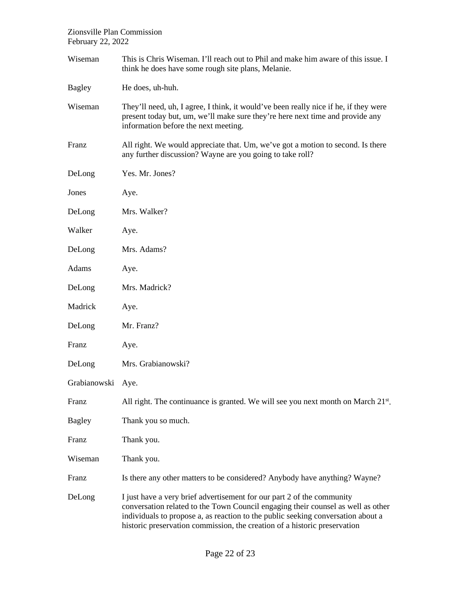| Wiseman       | This is Chris Wiseman. I'll reach out to Phil and make him aware of this issue. I<br>think he does have some rough site plans, Melanie.                                                                                                                                                                                     |
|---------------|-----------------------------------------------------------------------------------------------------------------------------------------------------------------------------------------------------------------------------------------------------------------------------------------------------------------------------|
| <b>Bagley</b> | He does, uh-huh.                                                                                                                                                                                                                                                                                                            |
| Wiseman       | They'll need, uh, I agree, I think, it would've been really nice if he, if they were<br>present today but, um, we'll make sure they're here next time and provide any<br>information before the next meeting.                                                                                                               |
| Franz         | All right. We would appreciate that. Um, we've got a motion to second. Is there<br>any further discussion? Wayne are you going to take roll?                                                                                                                                                                                |
| DeLong        | Yes. Mr. Jones?                                                                                                                                                                                                                                                                                                             |
| Jones         | Aye.                                                                                                                                                                                                                                                                                                                        |
| DeLong        | Mrs. Walker?                                                                                                                                                                                                                                                                                                                |
| Walker        | Aye.                                                                                                                                                                                                                                                                                                                        |
| DeLong        | Mrs. Adams?                                                                                                                                                                                                                                                                                                                 |
| Adams         | Aye.                                                                                                                                                                                                                                                                                                                        |
| DeLong        | Mrs. Madrick?                                                                                                                                                                                                                                                                                                               |
| Madrick       | Aye.                                                                                                                                                                                                                                                                                                                        |
| DeLong        | Mr. Franz?                                                                                                                                                                                                                                                                                                                  |
| Franz         | Aye.                                                                                                                                                                                                                                                                                                                        |
| DeLong        | Mrs. Grabianowski?                                                                                                                                                                                                                                                                                                          |
| Grabianowski  | Aye.                                                                                                                                                                                                                                                                                                                        |
| Franz         | All right. The continuance is granted. We will see you next month on March $21^{st}$ .                                                                                                                                                                                                                                      |
| <b>Bagley</b> | Thank you so much.                                                                                                                                                                                                                                                                                                          |
| Franz         | Thank you.                                                                                                                                                                                                                                                                                                                  |
| Wiseman       | Thank you.                                                                                                                                                                                                                                                                                                                  |
| Franz         | Is there any other matters to be considered? Anybody have anything? Wayne?                                                                                                                                                                                                                                                  |
| DeLong        | I just have a very brief advertisement for our part 2 of the community<br>conversation related to the Town Council engaging their counsel as well as other<br>individuals to propose a, as reaction to the public seeking conversation about a<br>historic preservation commission, the creation of a historic preservation |